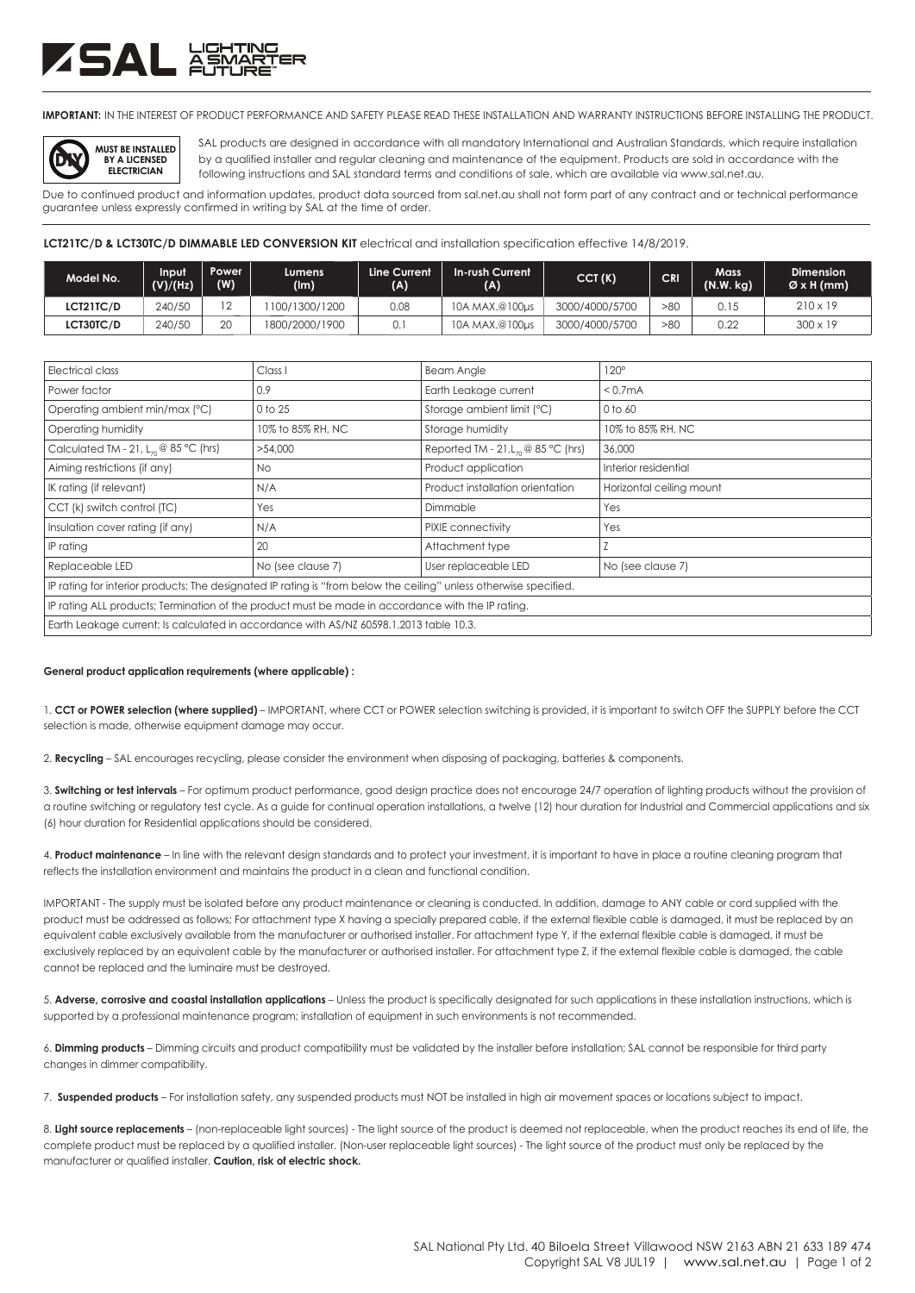# ZSAL XS

**IMPORTANT:** IN THE INTEREST OF PRODUCT PERFORMANCE AND SAFETY PLEASE READ THESE INSTALLATION AND WARRANTY INSTRUCTIONS BEFORE INSTALLING THE PRODUCT.



SAL products are designed in accordance with all mandatory International and Australian Standards, which require installation following instructions and SAL standard terms and conditions of sale, which are available via www.sal.net.au. by a qualified installer and regular cleaning and maintenance of the equipment. Products are sold in accordance with the

Due to continued product and information updates, product data sourced from sal.net.au shall not form part of any contract and or technical performance guarantee unless expressly confirmed in writing by SAL at the time of order.

### LCT21TC/D & LCT30TC/D DIMMABLE LED CONVERSION KIT electrical and installation specification effective 14/8/2019.

| Model No.        | Input<br>(V)/(Hz) | Power<br>(W)             | Lumens<br>(lm) | Line Current<br>(A) | In-rush Current<br>(A) | CCT(K)         | <b>CRI</b> | Mass<br>(N.W. kg) | <b>Dimension</b><br>$\varnothing$ x H (mm) |
|------------------|-------------------|--------------------------|----------------|---------------------|------------------------|----------------|------------|-------------------|--------------------------------------------|
| <b>LCT21TC/D</b> | 240/50            | $\overline{\phantom{0}}$ | 100/1300/1200  | 0.08                | 10A MAX.@100us         | 3000/4000/5700 | >80        | 0.15              | $210 \times 19$                            |
| <b>LCT30TC/D</b> | 240/50            | 20                       | 1800/2000/1900 | 0.1                 | 10A MAX.@100us         | 3000/4000/5700 | >80        | 0.22              | $300 \times 19$                            |

| Electrical class                                                                                                  | Class I           | <b>Beam Angle</b>                           | $120^\circ$              |  |  |  |  |
|-------------------------------------------------------------------------------------------------------------------|-------------------|---------------------------------------------|--------------------------|--|--|--|--|
| Power factor                                                                                                      | 0.9               | Earth Leakage current                       | < 0.7 <sub>m</sub> A     |  |  |  |  |
| Operating ambient min/max (°C)                                                                                    | 0 to 25           | Storage ambient limit (°C)                  | 0 to 60                  |  |  |  |  |
| Operating humidity                                                                                                | 10% to 85% RH, NC | Storage humidity                            | 10% to 85% RH, NC        |  |  |  |  |
| Calculated TM - 21, $L_{70}$ @ 85 °C (hrs)                                                                        | >54,000           | Reported TM - 21, $L_n \otimes 85$ °C (hrs) | 36,000                   |  |  |  |  |
| Aiming restrictions (if any)                                                                                      | No.               | Product application                         | Interior residential     |  |  |  |  |
| IK rating (if relevant)                                                                                           | N/A               | Product installation orientation            | Horizontal ceiling mount |  |  |  |  |
| CCT (k) switch control (TC)                                                                                       | Yes               | Dimmable                                    | Yes                      |  |  |  |  |
| Insulation cover rating (if any)                                                                                  | N/A               | PIXIE connectivity                          | Yes                      |  |  |  |  |
| IP rating                                                                                                         | 20                | Attachment type                             |                          |  |  |  |  |
| Replaceable LED                                                                                                   | No (see clause 7) | User replaceable LED                        | No (see clause 7)        |  |  |  |  |
| IP rating for interior products: The designated IP rating is "from below the ceiling" unless otherwise specified. |                   |                                             |                          |  |  |  |  |
| IP rating ALL products; Termination of the product must be made in accordance with the IP rating.                 |                   |                                             |                          |  |  |  |  |
| Earth Leakage current: Is calculated in accordance with AS/NZ 60598.1.2013 table 10.3.                            |                   |                                             |                          |  |  |  |  |

#### **General product application requirements (where applicable) :**

1. **CCT or POWER selection (where supplied)** – IMPORTANT, where CCT or POWER selection switching is provided, it is important to switch OFF the SUPPLY before the CCT selection is made, otherwise equipment damage may occur.

2. **Recycling** – SAL encourages recycling, please consider the environment when disposing of packaging, batteries & components.

3. **Switching or test intervals** – For optimum product performance, good design practice does not encourage 24/7 operation of lighting products without the provision of a routine switching or regulatory test cycle. As a guide for continual operation installations, a twelve (12) hour duration for Industrial and Commercial applications and six (6) hour duration for Residential applications should be considered.

4. **Product maintenance** – In line with the relevant design standards and to protect your investment, it is important to have in place a routine cleaning program that reflects the installation environment and maintains the product in a clean and functional condition.

IMPORTANT - The supply must be isolated before any product maintenance or cleaning is conducted. In addition, damage to ANY cable or cord supplied with the product must be addressed as follows; For attachment type X having a specially prepared cable, if the external flexible cable is damaged, it must be replaced by an equivalent cable exclusively available from the manufacturer or authorised installer. For attachment type Y, if the external flexible cable is damaged, it must be exclusively replaced by an equivalent cable by the manufacturer or authorised installer. For attachment type Z, if the external flexible cable is damaged, the cable cannot be replaced and the luminaire must be destroyed.

5. **Adverse, corrosive and coastal installation applications** – Unless the product is specifically designated for such applications in these installation instructions, which is supported by a professional maintenance program; installation of equipment in such environments is not recommended.

6. **Dimming products** – Dimming circuits and product compatibility must be validated by the installer before installation; SAL cannot be responsible for third party changes in dimmer compatibility.

7. **Suspended products** – For installation safety, any suspended products must NOT be installed in high air movement spaces or locations subject to impact.

8. Light source replacements - (non-replaceable light sources) - The light source of the product is deemed not replaceable, when the product reaches its end of life, the complete product must be replaced by a qualified installer. (Non-user replaceable light sources) - The light source of the product must only be replaced by the manufacturer or qualified installer. **Caution, risk of electric shock.**